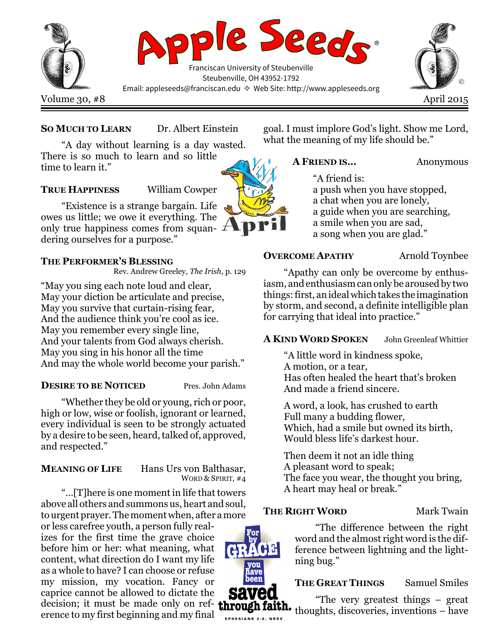

# SO MUCH TO LEARN Dr. Albert Einstein

"A day without learning is a day wasted. There is so much to learn and so little time to learn it."

TRUE HAPPINESS William Cowper

"Existence is a strange bargain. Life a owes us little; we owe it everything. The only true happiness comes from squan-  $\pm$ dering ourselves for a purpose."

## THE PERFORMER'S BLESSING

Rev. Andrew Greeley, The Irish, p. 129

"May you sing each note loud and clear, May your diction be articulate and precise, May you survive that curtain-rising fear, And the audience think you're cool as ice. May you remember every single line, And your talents from God always cherish. May you sing in his honor all the time And may the whole world become your parish."

## DESIRE TO BE NOTICED Pres. John Adams

"Whether they be old or young, rich or poor, high or low, wise or foolish, ignorant or learned, every individual is seen to be strongly actuated by a desire to be seen, heard, talked of, approved, and respected."

# MEANING OF LIFE Hans Urs von Balthasar,

WORD & SPIRIT, #4

**GR** 

you

EPHESIANS 2:8, NRSV

"…[T]here is one moment in life that towers above all others and summons us, heart and soul, to urgent prayer. The moment when, after a more

or less carefree youth, a person fully realizes for the first time the grave choice before him or her: what meaning, what content, what direction do I want my life as a whole to have? I can choose or refuse my mission, my vocation. Fancy or caprice cannot be allowed to dictate the decision; it must be made only on reference to my first beginning and my final

goal. I must implore God's light. Show me Lord, what the meaning of my life should be."

# A FRIEND IS… Anonymous

"A friend is: a push when you have stopped, a chat when you are lonely, a guide when you are searching, a smile when you are sad, a song when you are glad."

## OVERCOME APATHY Arnold Toynbee

"Apathy can only be overcome by enthusiasm, and enthusiasm can only be aroused by two things: first, an ideal which takes the imagination by storm, and second, a definite intelligible plan for carrying that ideal into practice."

# A KIND WORD SPOKEN John Greenleaf Whittier

"A little word in kindness spoke, A motion, or a tear, Has often healed the heart that's broken And made a friend sincere.

A word, a look, has crushed to earth Full many a budding flower, Which, had a smile but owned its birth, Would bless life's darkest hour.

Then deem it not an idle thing A pleasant word to speak; The face you wear, the thought you bring, A heart may heal or break."

# THE RIGHT WORD Mark Twain

"The difference between the right word and the almost right word is the difference between lightning and the lightning bug."

# THE GREAT THINGS Samuel Smiles

"The very greatest things – great thoughts, discoveries, inventions – have